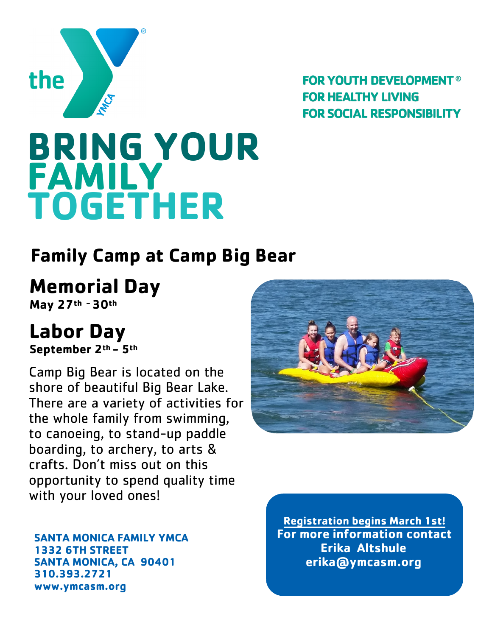

**FOR YOUTH DEVELOPMENT® FOR HEALTHY LIVING FOR SOCIAL RESPONSIBILITY** 

# **BRING YOUR FAMILY TOGETHER**

## **Family Camp at Camp Big Bear**

### **Memorial Day**

**May 27th -30th**

# **Labor Day**

**September 2th - 5th**

Camp Big Bear is located on the shore of beautiful Big Bear Lake. There are a variety of activities for the whole family from swimming, to canoeing, to stand-up paddle boarding, to archery, to arts & crafts. Don't miss out on this opportunity to spend quality time with your loved ones!

**SANTA MONICA FAMILY YMCA 1332 6TH STREET SANTA MONICA, CA 90401 310.393.2721 www.ymcasm.org** 



**Registration begins March 1st! For more information contact Erika Altshule erika@ymcasm.org**